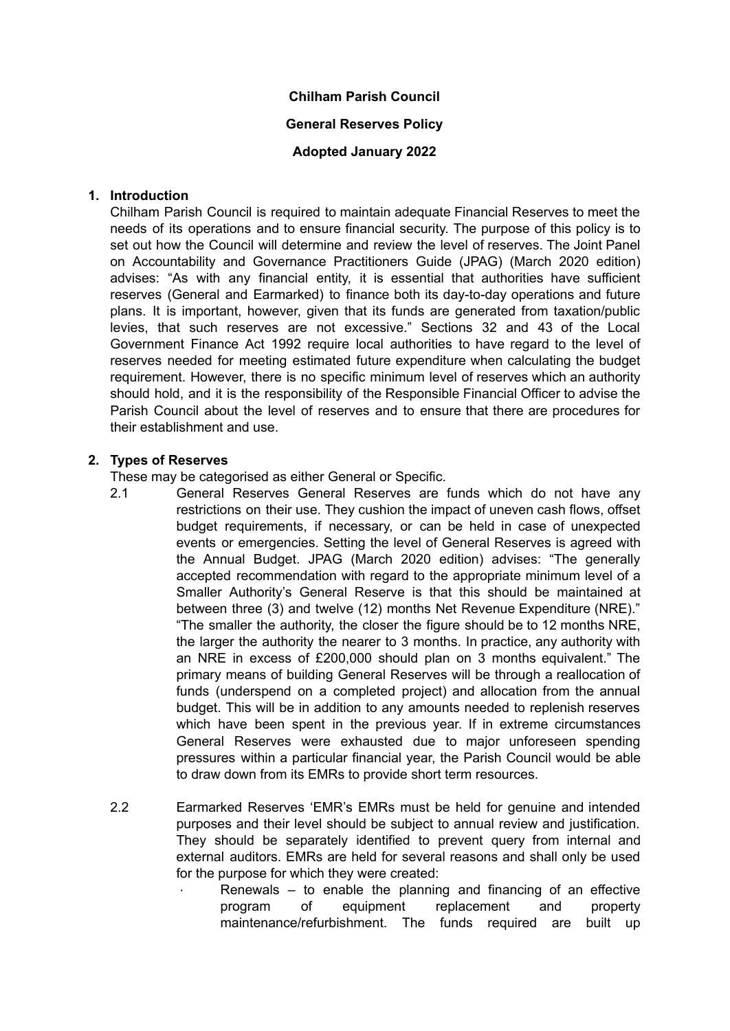### **Chilham Parish Council**

# **General Reserves Policy**

# **Adopted January 2022**

## **1. Introduction**

Chilham Parish Council is required to maintain adequate Financial Reserves to meet the needs of its operations and to ensure financial security. The purpose of this policy is to set out how the Council will determine and review the level of reserves. The Joint Panel on Accountability and Governance Practitioners Guide (JPAG) (March 2020 edition) advises: "As with any financial entity, it is essential that authorities have sufficient reserves (General and Earmarked) to finance both its day-to-day operations and future plans. It is important, however, given that its funds are generated from taxation/public levies, that such reserves are not excessive." Sections 32 and 43 of the Local Government Finance Act 1992 require local authorities to have regard to the level of reserves needed for meeting estimated future expenditure when calculating the budget requirement. However, there is no specific minimum level of reserves which an authority should hold, and it is the responsibility of the Responsible Financial Officer to advise the Parish Council about the level of reserves and to ensure that there are procedures for their establishment and use.

### **2. Types of Reserves**

These may be categorised as either General or Specific.

- 2.1 General Reserves General Reserves are funds which do not have any restrictions on their use. They cushion the impact of uneven cash flows, offset budget requirements, if necessary, or can be held in case of unexpected events or emergencies. Setting the level of General Reserves is agreed with the Annual Budget. JPAG (March 2020 edition) advises: "The generally accepted recommendation with regard to the appropriate minimum level of a Smaller Authority's General Reserve is that this should be maintained at between three (3) and twelve (12) months Net Revenue Expenditure (NRE)." "The smaller the authority, the closer the figure should be to 12 months NRE, the larger the authority the nearer to 3 months. In practice, any authority with an NRE in excess of £200,000 should plan on 3 months equivalent." The primary means of building General Reserves will be through a reallocation of funds (underspend on a completed project) and allocation from the annual budget. This will be in addition to any amounts needed to replenish reserves which have been spent in the previous year. If in extreme circumstances General Reserves were exhausted due to major unforeseen spending pressures within a particular financial year, the Parish Council would be able to draw down from its EMRs to provide short term resources.
- 2.2 Earmarked Reserves 'EMR's EMRs must be held for genuine and intended purposes and their level should be subject to annual review and justification. They should be separately identified to prevent query from internal and external auditors. EMRs are held for several reasons and shall only be used for the purpose for which they were created:
	- ∙ Renewals to enable the planning and financing of an effective program of equipment replacement and property maintenance/refurbishment. The funds required are built up